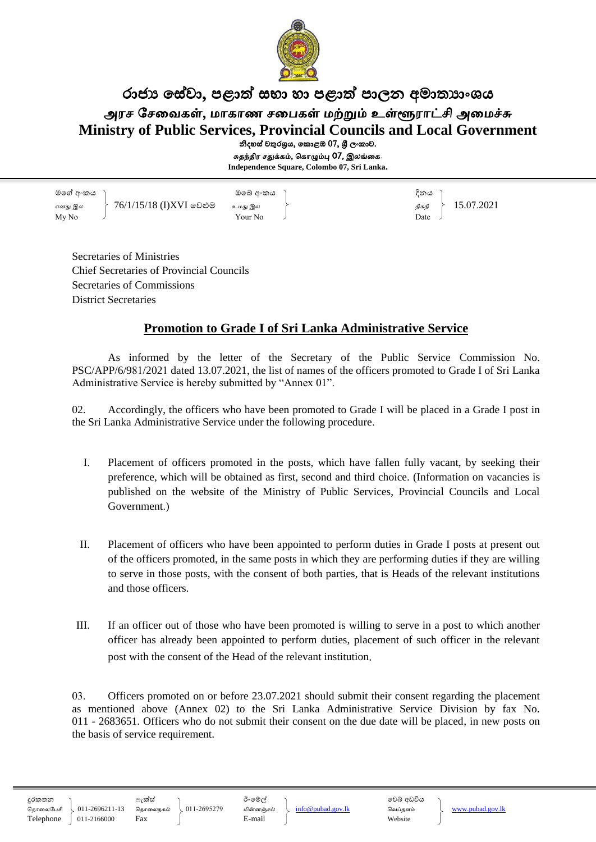

# රාජා සේවා, පළාත් සභා හා පළාත් පාලන අමාතාාංශය அரச சேவைகள், மாகாண சபைகள் மற்றும் உள்ளூராட்சி அமைச்சு **Ministry of Public Services, Provincial Councils and Local Government** නිදහස් චතුරශුය, කොළඹ 07, ශුී ලංකාව.

சுதந்திர சதுக்கம், ககாழும்பு 07, இலங்வக. **Independence Square, Colombo 07, Sri Lanka.**

මගේ අංකය ඔගේ අංකය දිනය எனது இல  $\begin{array}{c|c|c|c|c} \text{arg} & \text{arg} & \text{arg} & \text{arg} & \text{arg} & \text{arg} & \text{arg} & \text{arg} & \text{arg} & \text{arg} & \text{arg} & \text{arg} & \text{arg} & \text{arg} & \text{arg} & \text{arg} & \text{arg} & \text{arg} & \text{arg} & \text{arg} & \text{arg} & \text{arg} & \text{arg} & \text{arg} & \text{arg} & \text{arg} & \text{arg} & \text{arg} & \text{arg} & \text{arg} & \text{arg} & \text{arg} & \text{arg$  $\mathbf{M} \mathbf{y} \mathbf{N}$   $\mathbf{y}$   $\mathbf{N}$   $\mathbf{y}$   $\mathbf{y}$   $\mathbf{y}$   $\mathbf{y}$   $\mathbf{y}$   $\mathbf{y}$   $\mathbf{y}$   $\mathbf{y}$   $\mathbf{y}$   $\mathbf{y}$   $\mathbf{y}$   $\mathbf{y}$   $\mathbf{y}$   $\mathbf{y}$   $\mathbf{y}$   $\mathbf{y}$   $\mathbf{y}$   $\mathbf{y}$   $\mathbf{y}$   $\mathbf{y}$   $\$ 

Secretaries of Ministries Chief Secretaries of Provincial Councils Secretaries of Commissions District Secretaries

## **Promotion to Grade I of Sri Lanka Administrative Service**

As informed by the letter of the Secretary of the Public Service Commission No. PSC/APP/6/981/2021 dated 13.07.2021, the list of names of the officers promoted to Grade I of Sri Lanka Administrative Service is hereby submitted by "Annex 01".

02. Accordingly, the officers who have been promoted to Grade I will be placed in a Grade I post in the Sri Lanka Administrative Service under the following procedure.

- I. Placement of officers promoted in the posts, which have fallen fully vacant, by seeking their preference, which will be obtained as first, second and third choice. (Information on vacancies is published on the website of the Ministry of Public Services, Provincial Councils and Local Government.)
- II. Placement of officers who have been appointed to perform duties in Grade I posts at present out of the officers promoted, in the same posts in which they are performing duties if they are willing to serve in those posts, with the consent of both parties, that is Heads of the relevant institutions and those officers.
- III. If an officer out of those who have been promoted is willing to serve in a post to which another officer has already been appointed to perform duties, placement of such officer in the relevant post with the consent of the Head of the relevant institution.

03. Officers promoted on or before 23.07.2021 should submit their consent regarding the placement as mentioned above (Annex 02) to the Sri Lanka Administrative Service Division by fax No. 011 - 2683651. Officers who do not submit their consent on the due date will be placed, in new posts on the basis of service requirement.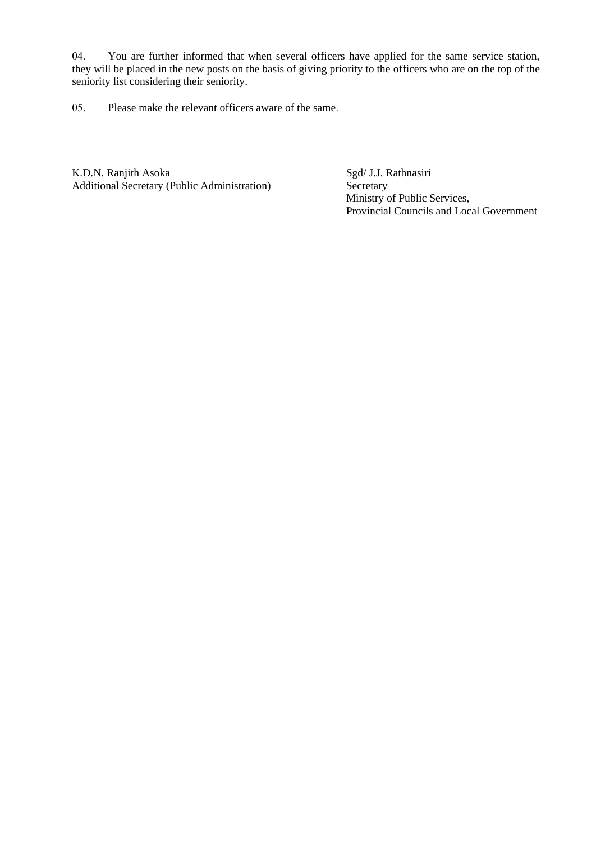04. You are further informed that when several officers have applied for the same service station, they will be placed in the new posts on the basis of giving priority to the officers who are on the top of the seniority list considering their seniority.

05. Please make the relevant officers aware of the same.

K.D.N. Ranjith Asoka Sgd/ J.J. Rathnasiri<br>Additional Secretary (Public Administration) Secretary Additional Secretary (Public Administration)

 Ministry of Public Services, Provincial Councils and Local Government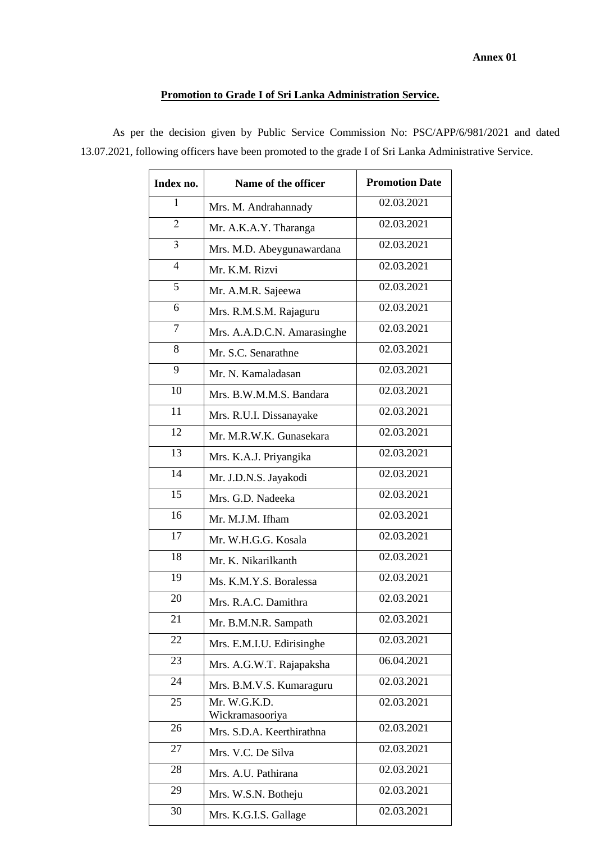#### **Annex 01**

### **Promotion to Grade I of Sri Lanka Administration Service.**

As per the decision given by Public Service Commission No: PSC/APP/6/981/2021 and dated 13.07.2021, following officers have been promoted to the grade I of Sri Lanka Administrative Service.

| Index no.      | Name of the officer             | <b>Promotion Date</b> |
|----------------|---------------------------------|-----------------------|
| 1              | Mrs. M. Andrahannady            | 02.03.2021            |
| $\overline{2}$ | Mr. A.K.A.Y. Tharanga           | 02.03.2021            |
| $\mathfrak{Z}$ | Mrs. M.D. Abeygunawardana       | 02.03.2021            |
| $\overline{4}$ | Mr. K.M. Rizvi                  | 02.03.2021            |
| 5              | Mr. A.M.R. Sajeewa              | 02.03.2021            |
| 6              | Mrs. R.M.S.M. Rajaguru          | 02.03.2021            |
| $\overline{7}$ | Mrs. A.A.D.C.N. Amarasinghe     | 02.03.2021            |
| 8              | Mr. S.C. Senarathne             | 02.03.2021            |
| 9              | Mr. N. Kamaladasan              | 02.03.2021            |
| 10             | Mrs. B.W.M.M.S. Bandara         | 02.03.2021            |
| 11             | Mrs. R.U.I. Dissanayake         | 02.03.2021            |
| 12             | Mr. M.R.W.K. Gunasekara         | 02.03.2021            |
| 13             | Mrs. K.A.J. Priyangika          | 02.03.2021            |
| 14             | Mr. J.D.N.S. Jayakodi           | 02.03.2021            |
| 15             | Mrs. G.D. Nadeeka               | 02.03.2021            |
| 16             | Mr. M.J.M. Ifham                | 02.03.2021            |
| 17             | Mr. W.H.G.G. Kosala             | 02.03.2021            |
| 18             | Mr. K. Nikarilkanth             | 02.03.2021            |
| 19             | Ms. K.M.Y.S. Boralessa          | 02.03.2021            |
| 20             | Mrs. R.A.C. Damithra            | 02.03.2021            |
| 21             | Mr. B.M.N.R. Sampath            | 02.03.2021            |
| 22             | Mrs. E.M.I.U. Edirisinghe       | 02.03.2021            |
| 23             | Mrs. A.G.W.T. Rajapaksha        | 06.04.2021            |
| 24             | Mrs. B.M.V.S. Kumaraguru        | 02.03.2021            |
| 25             | Mr. W.G.K.D.<br>Wickramasooriya | 02.03.2021            |
| 26             | Mrs. S.D.A. Keerthirathna       | 02.03.2021            |
| 27             | Mrs. V.C. De Silva              | 02.03.2021            |
| 28             | Mrs. A.U. Pathirana             | 02.03.2021            |
| 29             | Mrs. W.S.N. Botheju             | 02.03.2021            |
| 30             | Mrs. K.G.I.S. Gallage           | 02.03.2021            |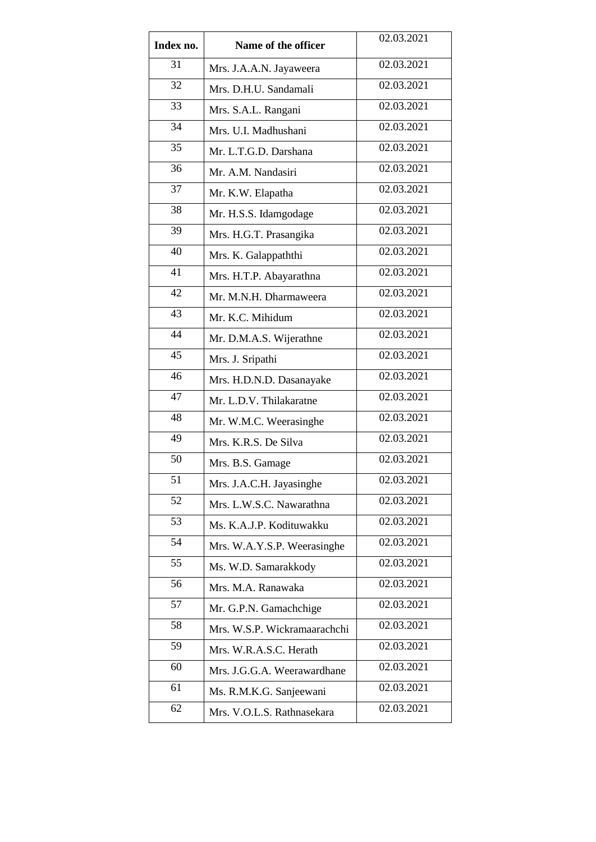| Index no. | Name of the officer          | 02.03.2021              |
|-----------|------------------------------|-------------------------|
| 31        | Mrs. J.A.A.N. Jayaweera      | 02.03.2021              |
| 32        | Mrs. D.H.U. Sandamali        | 02.03.2021              |
| 33        | Mrs. S.A.L. Rangani          | 02.03.2021              |
| 34        | Mrs. U.I. Madhushani         | 02.03.2021              |
| 35        | Mr. L.T.G.D. Darshana        | 02.03.2021              |
| 36        | Mr. A.M. Nandasiri           | 02.03.2021              |
| 37        | Mr. K.W. Elapatha            | 02.03.2021              |
| 38        | Mr. H.S.S. Idamgodage        | 02.03.2021              |
| 39        | Mrs. H.G.T. Prasangika       | 02.03.2021              |
| 40        | Mrs. K. Galappaththi         | 02.03.2021              |
| 41        | Mrs. H.T.P. Abayarathna      | 02.03.2021              |
| 42        | Mr. M.N.H. Dharmaweera       | 02.03.2021              |
| 43        | Mr. K.C. Mihidum             | 02.03.2021              |
| 44        | Mr. D.M.A.S. Wijerathne      | 02.03.2021              |
| 45        | Mrs. J. Sripathi             | 02.03.2021              |
| 46        | Mrs. H.D.N.D. Dasanayake     | 02.03.2021              |
| 47        | Mr. L.D.V. Thilakaratne      | 02.03.2021              |
| 48        | Mr. W.M.C. Weerasinghe       | 02.03.2021              |
| 49        | Mrs. K.R.S. De Silva         | 02.03.2021              |
| 50        | Mrs. B.S. Gamage             | 02.03.2021              |
| 51        | Mrs. J.A.C.H. Jayasinghe     | 02.03.2021              |
| 52        | Mrs. L.W.S.C. Nawarathna     | 02.03.2021              |
| 53        | Ms. K.A.J.P. Kodituwakku     | 02.03.2021              |
| 54        | Mrs. W.A.Y.S.P. Weerasinghe  | 02.03.2021              |
| 55        | Ms. W.D. Samarakkody         | 02.03.2021              |
| 56        | Mrs. M.A. Ranawaka           | 02.03.2021              |
| 57        | Mr. G.P.N. Gamachchige       | 02.03.2021              |
| 58        | Mrs. W.S.P. Wickramaarachchi | 02.03.2021              |
| 59        | Mrs. W.R.A.S.C. Herath       | 02.03.2021              |
| 60        | Mrs. J.G.G.A. Weerawardhane  | 02.03.2021              |
| 61        | Ms. R.M.K.G. Sanjeewani      | 02.03.2021              |
| 62        | Mrs. V.O.L.S. Rathnasekara   | $\overline{02.03.2021}$ |